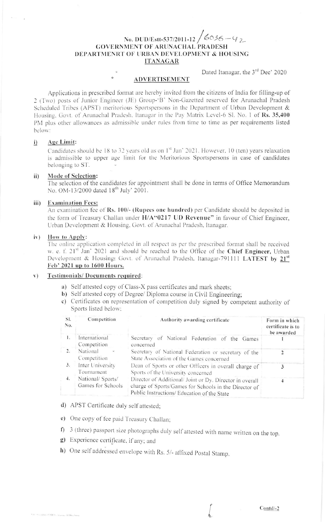# No. DUD/Estt-537/2011-12  $/6036 - 92$ **GOVERNMENT OF ARUNACHAL PRADESH** DEPARTMENRT OF URBAN DEVELOPMENT & HOUSING **ITANAGAR**

Dated Itanagar, the 3<sup>rd</sup> Dec' 2020

**ADVERTISEMENT** 

Applications in prescribed format are hereby invited from the citizens of India for filling-up of 2 (Two) posts of Junior Engineer (JE) Group-'B' Non-Gazetted reserved for Arunachal Pradesh Scheduled Tribes (APST) meritorious Sportspersons in the Department of Urban Development & Housing, Govt. of Arunachal Pradesh, Itanagar in the Pay Matrix Level-6 Sl. No. 1 of Rs. 35,400 PM plus other allowances as admissible under rules from time to time as per requirements listed below:

#### Age Limit:  $i)$

Candidates should be 18 to 32 years old as on 1st Jan' 2021. However, 10 (ten) years relaxation is admissible to upper age limit for the Meritorious Sportspersons in case of candidates belonging to ST.

#### **Mode of Selection:** ii)

The selection of the candidates for appointment shall be done in terms of Office Memorandum No. OM-13/2000 dated 18<sup>th</sup> July' 2001.

#### **Examination Fees:** iii)

An examination fee of Rs. 100/- (Rupees one hundred) per Candidate should be deposited in the form of Treasury Challan under H/A"0217 UD Revenue" in favour of Chief Engineer. Urban Development & Housing, Govt. of Arunachal Pradesh, Itanagar.

#### How to Apply:  $\mathbf{i} \mathbf{v}$ )

The online application completed in all respect as per the prescribed format shall be received w. e. f. 21<sup>st</sup> Jan' 2021 and should be reached to the Office of the Chief Engineer, Urban Development & Housing: Govt. of Arunachal Pradesh, Itanagar-791111 LATEST by 21<sup>st</sup> Feb' 2021 up to 1600 Hours.

#### Testimonials/Documents required:  $V)$

- a) Self attested copy of Class-X pass certificates and mark sheets;
- b) Self attested copy of Degree/ Diploma course in Civil Engineering:
- c) Certificates on representation of competition duly signed by competent authority of Sports listed below;

| SI.<br>No.       | Competition                                                                                                                                                                                                | Authority awarding certificate                                                                   | Form in which<br>certificate is to<br>be awarded |
|------------------|------------------------------------------------------------------------------------------------------------------------------------------------------------------------------------------------------------|--------------------------------------------------------------------------------------------------|--------------------------------------------------|
| 1.               | International<br>Competition                                                                                                                                                                               | Secretary of National Federation of the Games<br>concerned                                       |                                                  |
| $\overline{2}$ . | National<br>$\omega$<br>Competition                                                                                                                                                                        | Secretary of National Federation or secretary of the<br>State Association of the Games concerned |                                                  |
| 3.               | Inter University<br>Tournament                                                                                                                                                                             | Dean of Sports or other Officers in overall charge of<br>Sports of the University concerned      |                                                  |
| 4.               | National/ Sports/<br>Director of Additional/ Joint or Dy. Director in overall<br>Games for Schools<br>charge of Sports/Games for Schools in the Director of<br>Public Instructions/ Education of the State |                                                                                                  |                                                  |

- d) APST Certificate duly self attested;
- e) One copy of fee paid Treasury Challan;
- f) 3 (three) passport size photographs duly self attested with name written on the top.
- g) Experience certificate, if any; and
- h) One self addressed envelope with Rs. 5/- affixed Postal Stamp.